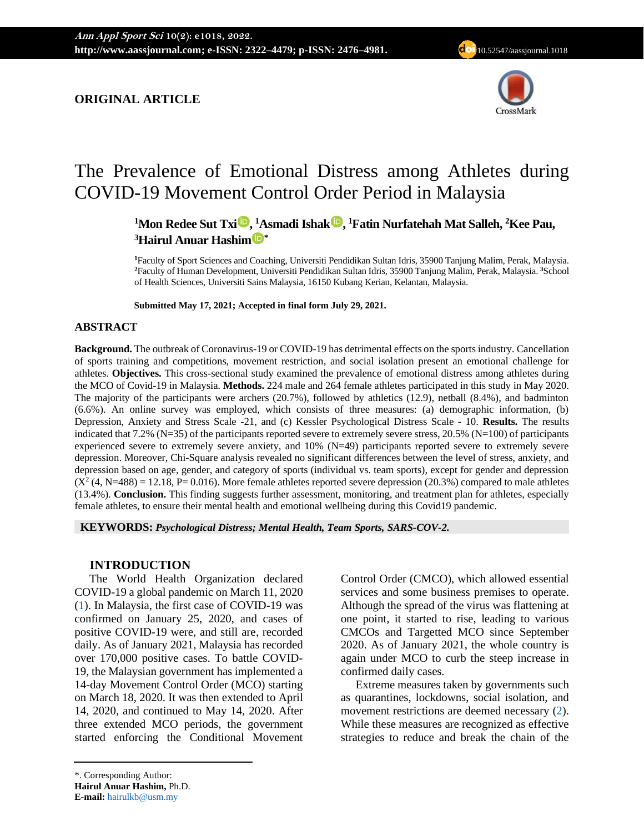## **ORIGINAL ARTICLE**



# The Prevalence of Emotional Distress among Athletes during COVID-19 Movement Control Order Period in Malaysia

**<sup>1</sup>Mon Redee Sut Tx[i](https://orcid.org/0000-0002-5864-9844) , <sup>1</sup>Asmadi Isha[k](https://orcid.org/0000-0003-0893-9648) , <sup>1</sup>Fatin Nurfatehah Mat Salleh, <sup>2</sup>Kee Pau, <sup>3</sup>Hairul Anuar Hashi[m](https://orcid.org/0000-0002-9137-0415) \***

**<sup>1</sup>**Faculty of Sport Sciences and Coaching, Universiti Pendidikan Sultan Idris, 35900 Tanjung Malim, Perak, Malaysia. **<sup>2</sup>**Faculty of Human Development, Universiti Pendidikan Sultan Idris, 35900 Tanjung Malim, Perak, Malaysia. **<sup>3</sup>**School of Health Sciences, Universiti Sains Malaysia, 16150 Kubang Kerian, Kelantan, Malaysia.

**Submitted May 17, 2021; Accepted in final form July 29, 2021.**

## **ABSTRACT**

**Background.** The outbreak of Coronavirus-19 or COVID-19 has detrimental effects on the sports industry. Cancellation of sports training and competitions, movement restriction, and social isolation present an emotional challenge for athletes. **Objectives.** This cross-sectional study examined the prevalence of emotional distress among athletes during the MCO of Covid-19 in Malaysia. **Methods.** 224 male and 264 female athletes participated in this study in May 2020. The majority of the participants were archers (20.7%), followed by athletics (12.9), netball (8.4%), and badminton (6.6%). An online survey was employed, which consists of three measures: (a) demographic information, (b) Depression, Anxiety and Stress Scale -21, and (c) Kessler Psychological Distress Scale - 10. **Results.** The results indicated that 7.2% (N=35) of the participants reported severe to extremely severe stress, 20.5% (N=100) of participants experienced severe to extremely severe anxiety, and 10% (N=49) participants reported severe to extremely severe depression. Moreover, Chi-Square analysis revealed no significant differences between the level of stress, anxiety, and depression based on age, gender, and category of sports (individual vs. team sports), except for gender and depression  $(X<sup>2</sup>(4, N=488) = 12.18, P= 0.016)$ . More female athletes reported severe depression (20.3%) compared to male athletes (13.4%). **Conclusion.** This finding suggests further assessment, monitoring, and treatment plan for athletes, especially female athletes, to ensure their mental health and emotional wellbeing during this Covid19 pandemic.

**KEYWORDS:** *Psychological Distress; Mental Health, Team Sports, SARS-COV-2.*

## **INTRODUCTION**

The World Health Organization declared COVID-19 a global pandemic on March 11, 2020 [\(1\)](#page-7-0). In Malaysia, the first case of COVID-19 was confirmed on January 25, 2020, and cases of positive COVID-19 were, and still are, recorded daily. As of January 2021, Malaysia has recorded over 170,000 positive cases. To battle COVID-19, the Malaysian government has implemented a 14-day Movement Control Order (MCO) starting on March 18, 2020. It was then extended to April 14, 2020, and continued to May 14, 2020. After three extended MCO periods, the government started enforcing the Conditional Movement Control Order (CMCO), which allowed essential services and some business premises to operate. Although the spread of the virus was flattening at one point, it started to rise, leading to various CMCOs and Targetted MCO since September 2020. As of January 2021, the whole country is again under MCO to curb the steep increase in confirmed daily cases.

Extreme measures taken by governments such as quarantines, lockdowns, social isolation, and movement restrictions are deemed necessary [\(2\)](#page-7-1). While these measures are recognized as effective strategies to reduce and break the chain of the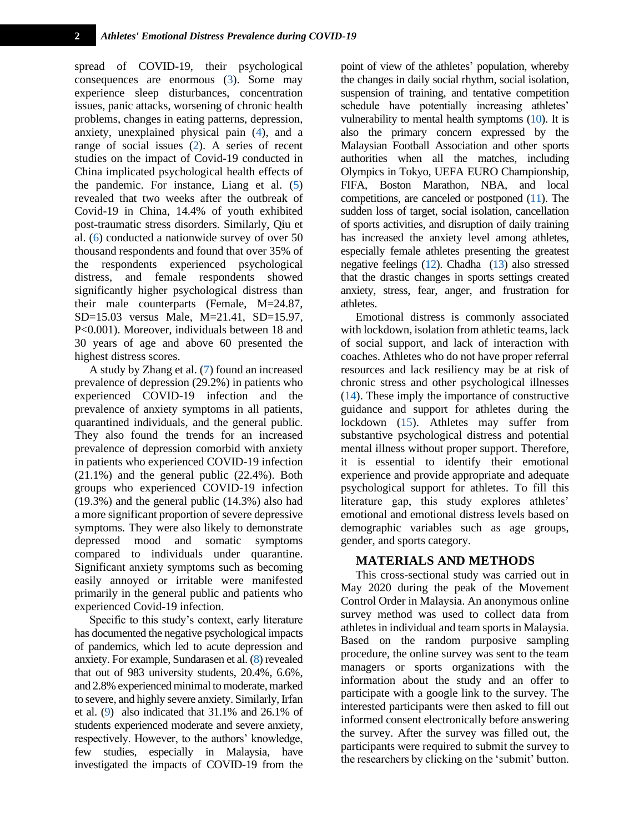spread of COVID-19, their psychological consequences are enormous [\(3\)](#page-7-2). Some may experience sleep disturbances, concentration issues, panic attacks, worsening of chronic health problems, changes in eating patterns, depression, anxiety, unexplained physical pain [\(4\)](#page-7-3), and a range of social issues [\(2\)](#page-7-1). A series of recent studies on the impact of Covid-19 conducted in China implicated psychological health effects of the pandemic. For instance, Liang et al. [\(5\)](#page-7-4) revealed that two weeks after the outbreak of Covid-19 in China, 14.4% of youth exhibited post-traumatic stress disorders. Similarly, Qiu et al. [\(6\)](#page-7-5) conducted a nationwide survey of over 50 thousand respondents and found that over 35% of the respondents experienced psychological distress, and female respondents showed significantly higher psychological distress than their male counterparts (Female, M=24.87, SD=15.03 versus Male, M=21.41, SD=15.97, P<0.001). Moreover, individuals between 18 and 30 years of age and above 60 presented the highest distress scores.

A study by Zhang et al. [\(7\)](#page-7-6) found an increased prevalence of depression (29.2%) in patients who experienced COVID-19 infection and the prevalence of anxiety symptoms in all patients, quarantined individuals, and the general public. They also found the trends for an increased prevalence of depression comorbid with anxiety in patients who experienced COVID-19 infection (21.1%) and the general public (22.4%). Both groups who experienced COVID-19 infection (19.3%) and the general public (14.3%) also had a more significant proportion of severe depressive symptoms. They were also likely to demonstrate depressed mood and somatic symptoms compared to individuals under quarantine. Significant anxiety symptoms such as becoming easily annoyed or irritable were manifested primarily in the general public and patients who experienced Covid-19 infection.

Specific to this study's context, early literature has documented the negative psychological impacts of pandemics, which led to acute depression and anxiety. For example, Sundarasen et al. [\(8\)](#page-7-7) revealed that out of 983 university students, 20.4%, 6.6%, and 2.8% experienced minimal to moderate, marked to severe, and highly severe anxiety. Similarly, Irfan et al. [\(9\)](#page-7-8) also indicated that 31.1% and 26.1% of students experienced moderate and severe anxiety, respectively. However, to the authors' knowledge, few studies, especially in Malaysia, have investigated the impacts of COVID-19 from the

point of view of the athletes' population, whereby the changes in daily social rhythm, social isolation, suspension of training, and tentative competition schedule have potentially increasing athletes' vulnerability to mental health symptoms [\(10\)](#page-7-9). It is also the primary concern expressed by the Malaysian Football Association and other sports authorities when all the matches, including Olympics in Tokyo, UEFA EURO Championship, FIFA, Boston Marathon, NBA, and local competitions, are canceled or postponed [\(11\)](#page-7-10). The sudden loss of target, social isolation, cancellation of sports activities, and disruption of daily training has increased the anxiety level among athletes, especially female athletes presenting the greatest negative feelings [\(12\)](#page-7-11). Chadha [\(13\)](#page-7-12) also stressed that the drastic changes in sports settings created anxiety, stress, fear, anger, and frustration for athletes.

Emotional distress is commonly associated with lockdown, isolation from athletic teams, lack of social support, and lack of interaction with coaches. Athletes who do not have proper referral resources and lack resiliency may be at risk of chronic stress and other psychological illnesses [\(14\)](#page-7-13). These imply the importance of constructive guidance and support for athletes during the lockdown [\(15\)](#page-7-14). Athletes may suffer from substantive psychological distress and potential mental illness without proper support. Therefore, it is essential to identify their emotional experience and provide appropriate and adequate psychological support for athletes. To fill this literature gap, this study explores athletes' emotional and emotional distress levels based on demographic variables such as age groups, gender, and sports category.

#### **MATERIALS AND METHODS**

This cross-sectional study was carried out in May 2020 during the peak of the Movement Control Order in Malaysia. An anonymous online survey method was used to collect data from athletes in individual and team sports in Malaysia. Based on the random purposive sampling procedure, the online survey was sent to the team managers or sports organizations with the information about the study and an offer to participate with a google link to the survey. The interested participants were then asked to fill out informed consent electronically before answering the survey. After the survey was filled out, the participants were required to submit the survey to the researchers by clicking on the 'submit' button.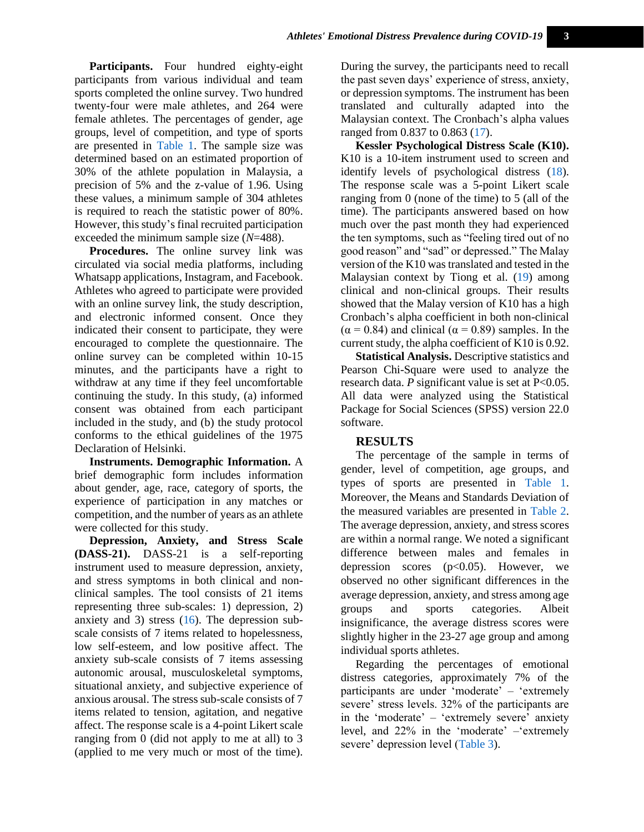**Participants.** Four hundred eighty-eight participants from various individual and team sports completed the online survey. Two hundred twenty-four were male athletes, and 264 were female athletes. The percentages of gender, age groups, level of competition, and type of sports are presented in [Table 1.](#page-3-0) The sample size was determined based on an estimated proportion of 30% of the athlete population in Malaysia, a precision of 5% and the z-value of 1.96. Using these values, a minimum sample of 304 athletes is required to reach the statistic power of 80%. However, this study's final recruited participation exceeded the minimum sample size (*N*=488).

**Procedures.** The online survey link was circulated via social media platforms, including Whatsapp applications, Instagram, and Facebook. Athletes who agreed to participate were provided with an online survey link, the study description, and electronic informed consent. Once they indicated their consent to participate, they were encouraged to complete the questionnaire. The online survey can be completed within 10-15 minutes, and the participants have a right to withdraw at any time if they feel uncomfortable continuing the study. In this study, (a) informed consent was obtained from each participant included in the study, and (b) the study protocol conforms to the ethical guidelines of the 1975 Declaration of Helsinki.

**Instruments. Demographic Information.** A brief demographic form includes information about gender, age, race, category of sports, the experience of participation in any matches or competition, and the number of years as an athlete were collected for this study.

**Depression, Anxiety, and Stress Scale (DASS-21).** DASS-21 is a self-reporting instrument used to measure depression, anxiety, and stress symptoms in both clinical and nonclinical samples. The tool consists of 21 items representing three sub-scales: 1) depression, 2) anxiety and 3) stress [\(16\)](#page-7-15). The depression subscale consists of 7 items related to hopelessness, low self-esteem, and low positive affect. The anxiety sub-scale consists of 7 items assessing autonomic arousal, musculoskeletal symptoms, situational anxiety, and subjective experience of anxious arousal. The stress sub-scale consists of 7 items related to tension, agitation, and negative affect. The response scale is a 4-point Likert scale ranging from 0 (did not apply to me at all) to 3 (applied to me very much or most of the time).

During the survey, the participants need to recall the past seven days' experience of stress, anxiety, or depression symptoms. The instrument has been translated and culturally adapted into the Malaysian context. The Cronbach's alpha values ranged from 0.837 to 0.863 [\(17\)](#page-8-0).

**Kessler Psychological Distress Scale (K10).**  K10 is a 10-item instrument used to screen and identify levels of psychological distress [\(18\)](#page-8-1). The response scale was a 5-point Likert scale ranging from 0 (none of the time) to 5 (all of the time). The participants answered based on how much over the past month they had experienced the ten symptoms, such as "feeling tired out of no good reason" and "sad" or depressed." The Malay version of the K10 was translated and tested in the Malaysian context by Tiong et al. [\(19\)](#page-8-2) among clinical and non-clinical groups. Their results showed that the Malay version of K10 has a high Cronbach's alpha coefficient in both non-clinical  $(\alpha = 0.84)$  and clinical  $(\alpha = 0.89)$  samples. In the current study, the alpha coefficient of K10 is 0.92.

**Statistical Analysis.** Descriptive statistics and Pearson Chi-Square were used to analyze the research data. *P* significant value is set at P<0.05. All data were analyzed using the Statistical Package for Social Sciences (SPSS) version 22.0 software.

## **RESULTS**

The percentage of the sample in terms of gender, level of competition, age groups, and types of sports are presented in [Table 1.](#page-3-0) Moreover, the Means and Standards Deviation of the measured variables are presented in [Table 2.](#page-3-1) The average depression, anxiety, and stress scores are within a normal range. We noted a significant difference between males and females in depression scores  $(p<0.05)$ . However, we observed no other significant differences in the average depression, anxiety, and stress among age groups and sports categories. Albeit insignificance, the average distress scores were slightly higher in the 23-27 age group and among individual sports athletes.

Regarding the percentages of emotional distress categories, approximately 7% of the participants are under 'moderate' – 'extremely severe' stress levels. 32% of the participants are in the 'moderate' – 'extremely severe' anxiety level, and 22% in the 'moderate' –'extremely severe' depression level [\(Table 3\)](#page-4-0).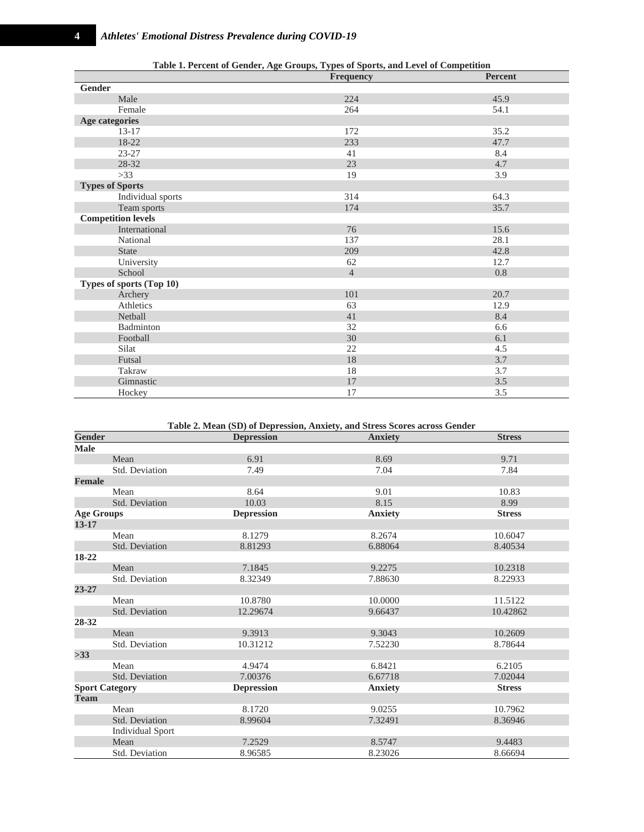<span id="page-3-0"></span>

|                           | Frequency      | Percent |
|---------------------------|----------------|---------|
| Gender                    |                |         |
| Male                      | 224            | 45.9    |
| Female                    | 264            | 54.1    |
| <b>Age categories</b>     |                |         |
| $13 - 17$                 | 172            | 35.2    |
| 18-22                     | 233            | 47.7    |
| 23-27                     | 41             | 8.4     |
| 28-32                     | 23             | 4.7     |
| $>33$                     | 19             | 3.9     |
| <b>Types of Sports</b>    |                |         |
| Individual sports         | 314            | 64.3    |
| Team sports               | 174            | 35.7    |
| <b>Competition levels</b> |                |         |
| International             | 76             | 15.6    |
| National                  | 137            | 28.1    |
| <b>State</b>              | 209            | 42.8    |
| University                | 62             | 12.7    |
| School                    | $\overline{4}$ | 0.8     |
| Types of sports (Top 10)  |                |         |
| Archery                   | 101            | 20.7    |
| Athletics                 | 63             | 12.9    |
| Netball                   | 41             | 8.4     |
| Badminton                 | 32             | 6.6     |
| Football                  | 30             | 6.1     |
| Silat                     | 22             | 4.5     |
| Futsal                    | $18\,$         | 3.7     |
| Takraw                    | 18             | 3.7     |
| Gimnastic                 | 17             | 3.5     |
| Hockey                    | 17             | 3.5     |

**Table 2. Mean (SD) of Depression, Anxiety, and Stress Scores across Gender**

<span id="page-3-1"></span>

| Gender                  | $\sim$ which is the way (DD) of D up a properties in the case of $\sim$ 0.00 percent was one of the<br><b>Depression</b> | <b>Anxiety</b> | <b>Stress</b> |
|-------------------------|--------------------------------------------------------------------------------------------------------------------------|----------------|---------------|
| <b>Male</b>             |                                                                                                                          |                |               |
| Mean                    | 6.91                                                                                                                     | 8.69           | 9.71          |
| Std. Deviation          | 7.49                                                                                                                     | 7.04           | 7.84          |
| <b>Female</b>           |                                                                                                                          |                |               |
| Mean                    | 8.64                                                                                                                     | 9.01           | 10.83         |
| Std. Deviation          | 10.03                                                                                                                    | 8.15           | 8.99          |
| <b>Age Groups</b>       | <b>Depression</b>                                                                                                        | <b>Anxiety</b> | <b>Stress</b> |
| $13 - 17$               |                                                                                                                          |                |               |
| Mean                    | 8.1279                                                                                                                   | 8.2674         | 10.6047       |
| Std. Deviation          | 8.81293                                                                                                                  | 6.88064        | 8.40534       |
| 18-22                   |                                                                                                                          |                |               |
| Mean                    | 7.1845                                                                                                                   | 9.2275         | 10.2318       |
| Std. Deviation          | 8.32349                                                                                                                  | 7.88630        | 8.22933       |
| $23 - 27$               |                                                                                                                          |                |               |
| Mean                    | 10.8780                                                                                                                  | 10.0000        | 11.5122       |
| Std. Deviation          | 12.29674                                                                                                                 | 9.66437        | 10.42862      |
| 28-32                   |                                                                                                                          |                |               |
| Mean                    | 9.3913                                                                                                                   | 9.3043         | 10.2609       |
| Std. Deviation          | 10.31212                                                                                                                 | 7.52230        | 8.78644       |
| >33                     |                                                                                                                          |                |               |
| Mean                    | 4.9474                                                                                                                   | 6.8421         | 6.2105        |
| Std. Deviation          | 7.00376                                                                                                                  | 6.67718        | 7.02044       |
| <b>Sport Category</b>   | <b>Depression</b>                                                                                                        | <b>Anxiety</b> | <b>Stress</b> |
| <b>Team</b>             |                                                                                                                          |                |               |
| Mean                    | 8.1720                                                                                                                   | 9.0255         | 10.7962       |
| Std. Deviation          | 8.99604                                                                                                                  | 7.32491        | 8.36946       |
| <b>Individual Sport</b> |                                                                                                                          |                |               |
| Mean                    | 7.2529                                                                                                                   | 8.5747         | 9.4483        |
| Std. Deviation          | 8.96585                                                                                                                  | 8.23026        | 8.66694       |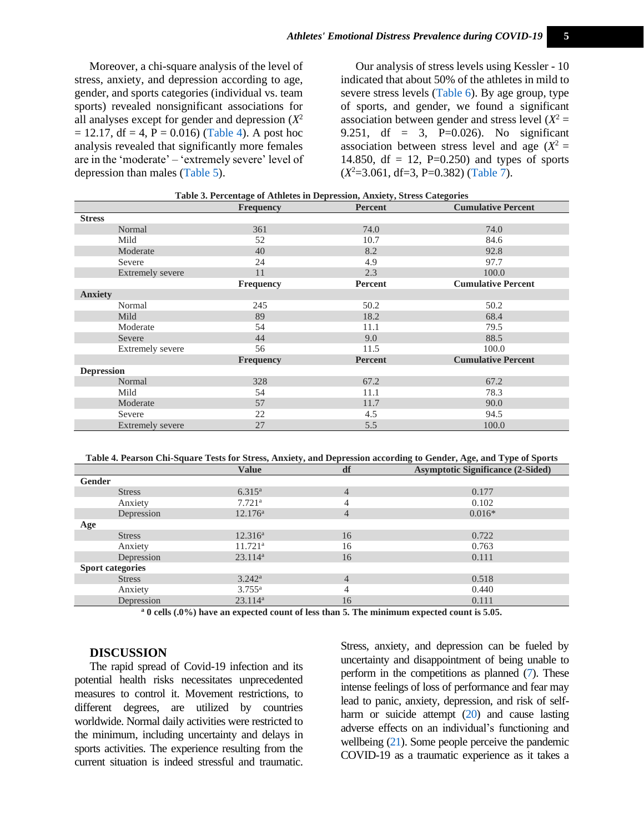Moreover, a chi-square analysis of the level of stress, anxiety, and depression according to age, gender, and sports categories (individual vs. team sports) revealed nonsignificant associations for all analyses except for gender and depression (*X* 2  $= 12.17$ , df  $= 4$ ,  $P = 0.016$ ) [\(Table 4\)](#page-4-1). A post hoc analysis revealed that significantly more females are in the 'moderate' – 'extremely severe' level of depression than males [\(Table 5\)](#page-5-0).

Our analysis of stress levels using Kessler - 10 indicated that about 50% of the athletes in mild to severe stress levels [\(Table 6\)](#page-5-1). By age group, type of sports, and gender, we found a significant association between gender and stress level  $(X^2 =$ 9.251, df = 3, P=0.026). No significant association between stress level and age  $(X^2 =$ 14.850, df = 12, P=0.250) and types of sports (*X* <sup>2</sup>=3.061, df=3, P=0.382) [\(Table 7\)](#page-5-2).

<span id="page-4-0"></span>

|                         | which is a considered in the second constant $\mathbf{y}$ in $\mathbf{y}$ in $\mathbf{y}$ is the consequence<br><b>Frequency</b> | Percent        | <b>Cumulative Percent</b> |
|-------------------------|----------------------------------------------------------------------------------------------------------------------------------|----------------|---------------------------|
| <b>Stress</b>           |                                                                                                                                  |                |                           |
| Normal                  | 361                                                                                                                              | 74.0           | 74.0                      |
| Mild                    | 52                                                                                                                               | 10.7           | 84.6                      |
| Moderate                | 40                                                                                                                               | 8.2            | 92.8                      |
| Severe                  | 24                                                                                                                               | 4.9            | 97.7                      |
| <b>Extremely severe</b> | 11                                                                                                                               | 2.3            | 100.0                     |
|                         | Frequency                                                                                                                        | Percent        | <b>Cumulative Percent</b> |
| <b>Anxiety</b>          |                                                                                                                                  |                |                           |
| Normal                  | 245                                                                                                                              | 50.2           | 50.2                      |
| Mild                    | 89                                                                                                                               | 18.2           | 68.4                      |
| Moderate                | 54                                                                                                                               | 11.1           | 79.5                      |
| Severe                  | 44                                                                                                                               | 9.0            | 88.5                      |
| Extremely severe        | 56                                                                                                                               | 11.5           | 100.0                     |
|                         | Frequency                                                                                                                        | <b>Percent</b> | <b>Cumulative Percent</b> |
| <b>Depression</b>       |                                                                                                                                  |                |                           |
| Normal                  | 328                                                                                                                              | 67.2           | 67.2                      |
| Mild                    | 54                                                                                                                               | 11.1           | 78.3                      |
| Moderate                | 57                                                                                                                               | 11.7           | 90.0                      |
| Severe                  | 22                                                                                                                               | 4.5            | 94.5                      |
| <b>Extremely severe</b> | 27                                                                                                                               | 5.5            | 100.0                     |

|  | Table 3. Percentage of Athletes in Depression, Anxiety, Stress Categories |  |  |
|--|---------------------------------------------------------------------------|--|--|
|  |                                                                           |  |  |

<span id="page-4-1"></span>**Table 4. Pearson Chi-Square Tests for Stress, Anxiety, and Depression according to Gender, Age, and Type of Sports**

|                         | <b>Value</b>         | df             | <b>Asymptotic Significance (2-Sided)</b> |
|-------------------------|----------------------|----------------|------------------------------------------|
| Gender                  |                      |                |                                          |
| <b>Stress</b>           | $6.315^{\rm a}$      | 4              | 0.177                                    |
| Anxiety                 | $7.721$ <sup>a</sup> | 4              | 0.102                                    |
| Depression              | $12.176^{\rm a}$     | 4              | $0.016*$                                 |
| Age                     |                      |                |                                          |
| <b>Stress</b>           | $12.316^a$           | 16             | 0.722                                    |
| Anxiety                 | $11.721^{\rm a}$     | 16             | 0.763                                    |
| Depression              | 23.114 <sup>a</sup>  | 16             | 0.111                                    |
| <b>Sport categories</b> |                      |                |                                          |
| <b>Stress</b>           | $3.242^{\rm a}$      | $\overline{4}$ | 0.518                                    |
| Anxiety                 | $3.755^{\rm a}$      | 4              | 0.440                                    |
| Depression              | 23.114 <sup>a</sup>  | 16             | 0.111                                    |

**<sup>a</sup> 0 cells (.0%) have an expected count of less than 5. The minimum expected count is 5.05.**

#### **DISCUSSION**

The rapid spread of Covid-19 infection and its potential health risks necessitates unprecedented measures to control it. Movement restrictions, to different degrees, are utilized by countries worldwide. Normal daily activities were restricted to the minimum, including uncertainty and delays in sports activities. The experience resulting from the current situation is indeed stressful and traumatic.

Stress, anxiety, and depression can be fueled by uncertainty and disappointment of being unable to perform in the competitions as planned [\(7\)](#page-7-6). These intense feelings of loss of performance and fear may lead to panic, anxiety, depression, and risk of self-harm or suicide attempt [\(20\)](#page-8-3) and cause lasting adverse effects on an individual's functioning and wellbeing [\(21\)](#page-8-4). Some people perceive the pandemic COVID-19 as a traumatic experience as it takes a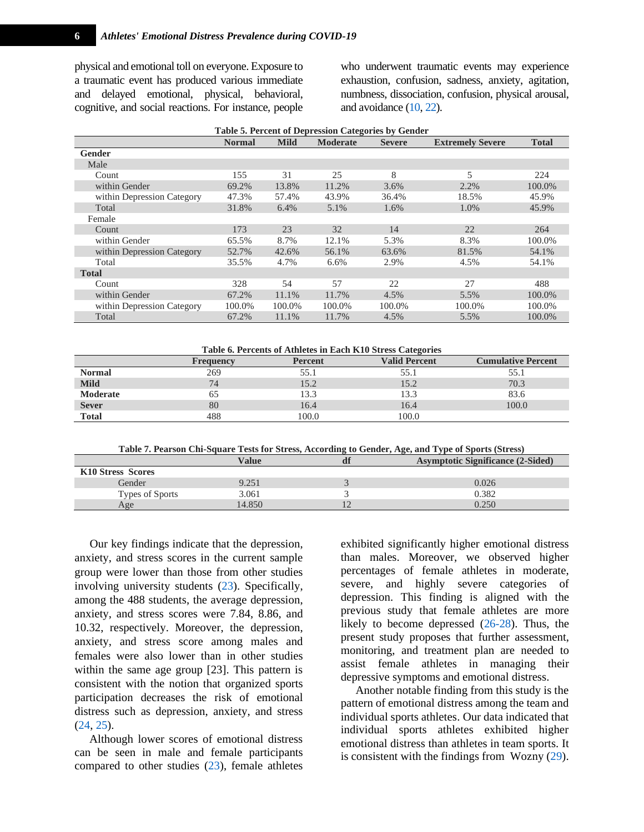physical and emotional toll on everyone. Exposure to a traumatic event has produced various immediate and delayed emotional, physical, behavioral, cognitive, and social reactions. For instance, people who underwent traumatic events may experience exhaustion, confusion, sadness, anxiety, agitation, numbness, dissociation, confusion, physical arousal, and avoidance [\(10,](#page-7-9) [22\)](#page-8-5).

<span id="page-5-0"></span>

| Table 5. Percent of Depression Categories by Gender |               |             |                 |               |                         |              |
|-----------------------------------------------------|---------------|-------------|-----------------|---------------|-------------------------|--------------|
|                                                     | <b>Normal</b> | <b>Mild</b> | <b>Moderate</b> | <b>Severe</b> | <b>Extremely Severe</b> | <b>Total</b> |
| Gender                                              |               |             |                 |               |                         |              |
| Male                                                |               |             |                 |               |                         |              |
| Count                                               | 155           | 31          | 25              | 8             | 5                       | 224          |
| within Gender                                       | 69.2%         | 13.8%       | 11.2%           | 3.6%          | 2.2%                    | 100.0%       |
| within Depression Category                          | 47.3%         | 57.4%       | 43.9%           | 36.4%         | 18.5%                   | 45.9%        |
| Total                                               | 31.8%         | 6.4%        | 5.1%            | 1.6%          | 1.0%                    | 45.9%        |
| Female                                              |               |             |                 |               |                         |              |
| Count                                               | 173           | 23          | 32              | 14            | 22                      | 264          |
| within Gender                                       | 65.5%         | 8.7%        | 12.1%           | 5.3%          | 8.3%                    | 100.0%       |
| within Depression Category                          | 52.7%         | 42.6%       | 56.1%           | 63.6%         | 81.5%                   | 54.1%        |
| Total                                               | 35.5%         | 4.7%        | 6.6%            | 2.9%          | 4.5%                    | 54.1%        |
| <b>Total</b>                                        |               |             |                 |               |                         |              |
| Count                                               | 328           | 54          | 57              | 22            | 27                      | 488          |
| within Gender                                       | 67.2%         | 11.1%       | 11.7%           | 4.5%          | 5.5%                    | 100.0%       |
| within Depression Category                          | 100.0%        | 100.0%      | 100.0%          | 100.0%        | 100.0%                  | 100.0%       |
| Total                                               | 67.2%         | 11.1%       | 11.7%           | 4.5%          | 5.5%                    | 100.0%       |

<span id="page-5-1"></span>

| Table 6. Percents of Athletes in Each K10 Stress Categories |                  |                |                      |                           |
|-------------------------------------------------------------|------------------|----------------|----------------------|---------------------------|
|                                                             | <b>Frequency</b> | <b>Percent</b> | <b>Valid Percent</b> | <b>Cumulative Percent</b> |
| <b>Normal</b>                                               | 269              | 55.1           | 55.1                 | 55.1                      |
| <b>Mild</b>                                                 | 74               | 15.2           | 15.2                 | 70.3                      |
| Moderate                                                    | 65               | 13.3           | 13.3                 | 83.6                      |
| <b>Sever</b>                                                | 80               | 16.4           | 16.4                 | 100.0                     |
| <b>Total</b>                                                | 488              | 100.0          | 100.0                |                           |

**Table 7. Pearson Chi-Square Tests for Stress, According to Gender, Age, and Type of Sports (Stress)**

<span id="page-5-2"></span>

|                   | Value  | <b>Asymptotic Significance (2-Sided)</b> |
|-------------------|--------|------------------------------------------|
| K10 Stress Scores |        |                                          |
| Gender            | 9.251  | 0.026                                    |
| Types of Sports   | 3.061  | 0.382                                    |
| Age               | 14.850 | 0.250                                    |

Our key findings indicate that the depression, anxiety, and stress scores in the current sample group were lower than those from other studies involving university students [\(23\)](#page-8-6). Specifically, among the 488 students, the average depression, anxiety, and stress scores were 7.84, 8.86, and 10.32, respectively. Moreover, the depression, anxiety, and stress score among males and females were also lower than in other studies within the same age group [23]. This pattern is consistent with the notion that organized sports participation decreases the risk of emotional distress such as depression, anxiety, and stress [\(24,](#page-8-7) [25\)](#page-8-8).

Although lower scores of emotional distress can be seen in male and female participants compared to other studies [\(23\)](#page-8-6), female athletes exhibited significantly higher emotional distress than males. Moreover, we observed higher percentages of female athletes in moderate, severe, and highly severe categories of depression. This finding is aligned with the previous study that female athletes are more likely to become depressed [\(26-28\)](#page-8-9). Thus, the present study proposes that further assessment, monitoring, and treatment plan are needed to assist female athletes in managing their depressive symptoms and emotional distress.

Another notable finding from this study is the pattern of emotional distress among the team and individual sports athletes. Our data indicated that individual sports athletes exhibited higher emotional distress than athletes in team sports. It is consistent with the findings from Wozny [\(29\)](#page-8-10).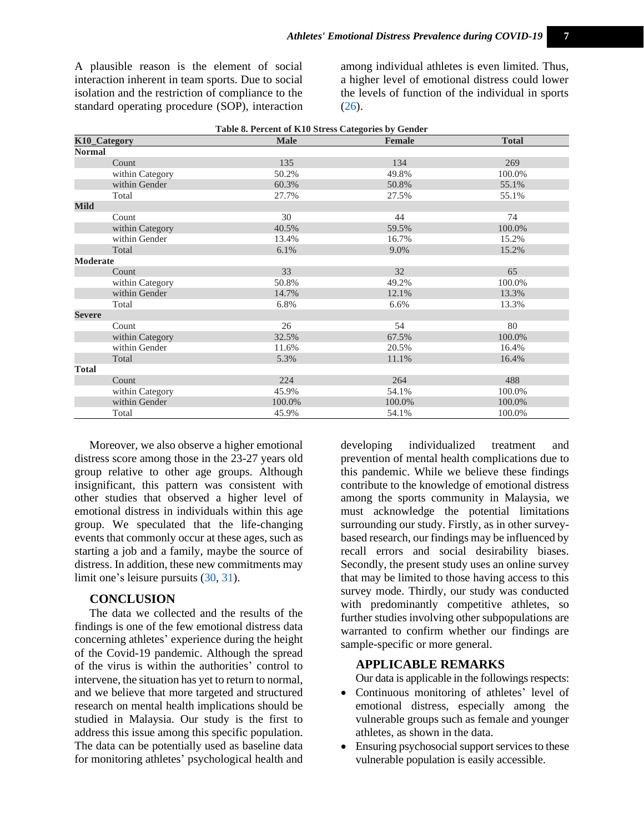A plausible reason is the element of social interaction inherent in team sports. Due to social isolation and the restriction of compliance to the standard operating procedure (SOP), interaction

among individual athletes is even limited. Thus, a higher level of emotional distress could lower the levels of function of the individual in sports [\(26\)](#page-8-9).

| Table 8. Percent of K10 Stress Categories by Gender |             |               |              |  |  |
|-----------------------------------------------------|-------------|---------------|--------------|--|--|
| K10_Category                                        | <b>Male</b> | <b>Female</b> | <b>Total</b> |  |  |
| <b>Normal</b>                                       |             |               |              |  |  |
| Count                                               | 135         | 134           | 269          |  |  |
| within Category                                     | 50.2%       | 49.8%         | 100.0%       |  |  |
| within Gender                                       | 60.3%       | 50.8%         | 55.1%        |  |  |
| Total                                               | 27.7%       | 27.5%         | 55.1%        |  |  |
| Mild                                                |             |               |              |  |  |
| Count                                               | 30          | 44            | 74           |  |  |
| within Category                                     | 40.5%       | 59.5%         | 100.0%       |  |  |
| within Gender                                       | 13.4%       | 16.7%         | 15.2%        |  |  |
| Total                                               | 6.1%        | 9.0%          | 15.2%        |  |  |
| Moderate                                            |             |               |              |  |  |
| Count                                               | 33          | 32            | 65           |  |  |
| within Category                                     | 50.8%       | 49.2%         | 100.0%       |  |  |
| within Gender                                       | 14.7%       | 12.1%         | 13.3%        |  |  |
| Total                                               | 6.8%        | 6.6%          | 13.3%        |  |  |
| <b>Severe</b>                                       |             |               |              |  |  |
| Count                                               | 26          | 54            | 80           |  |  |
| within Category                                     | 32.5%       | 67.5%         | 100.0%       |  |  |
| within Gender                                       | 11.6%       | 20.5%         | 16.4%        |  |  |
| Total                                               | 5.3%        | 11.1%         | 16.4%        |  |  |
| <b>Total</b>                                        |             |               |              |  |  |
| Count                                               | 224         | 264           | 488          |  |  |
| within Category                                     | 45.9%       | 54.1%         | 100.0%       |  |  |
| within Gender                                       | 100.0%      | 100.0%        | 100.0%       |  |  |
| Total                                               | 45.9%       | 54.1%         | 100.0%       |  |  |

Moreover, we also observe a higher emotional distress score among those in the 23-27 years old group relative to other age groups. Although insignificant, this pattern was consistent with other studies that observed a higher level of emotional distress in individuals within this age group. We speculated that the life-changing events that commonly occur at these ages, such as starting a job and a family, maybe the source of distress. In addition, these new commitments may limit one's leisure pursuits [\(30,](#page-8-11) [31\)](#page-8-12).

#### **CONCLUSION**

The data we collected and the results of the findings is one of the few emotional distress data concerning athletes' experience during the height of the Covid-19 pandemic. Although the spread of the virus is within the authorities' control to intervene, the situation has yet to return to normal, and we believe that more targeted and structured research on mental health implications should be studied in Malaysia. Our study is the first to address this issue among this specific population. The data can be potentially used as baseline data for monitoring athletes' psychological health and developing individualized treatment and prevention of mental health complications due to this pandemic. While we believe these findings contribute to the knowledge of emotional distress among the sports community in Malaysia, we must acknowledge the potential limitations surrounding our study. Firstly, as in other surveybased research, our findings may be influenced by recall errors and social desirability biases. Secondly, the present study uses an online survey that may be limited to those having access to this survey mode. Thirdly, our study was conducted with predominantly competitive athletes, so further studies involving other subpopulations are warranted to confirm whether our findings are sample-specific or more general.

## **APPLICABLE REMARKS**

Our data is applicable in the followings respects:

- Continuous monitoring of athletes' level of emotional distress, especially among the vulnerable groups such as female and younger athletes, as shown in the data.
- Ensuring psychosocial support services to these vulnerable population is easily accessible.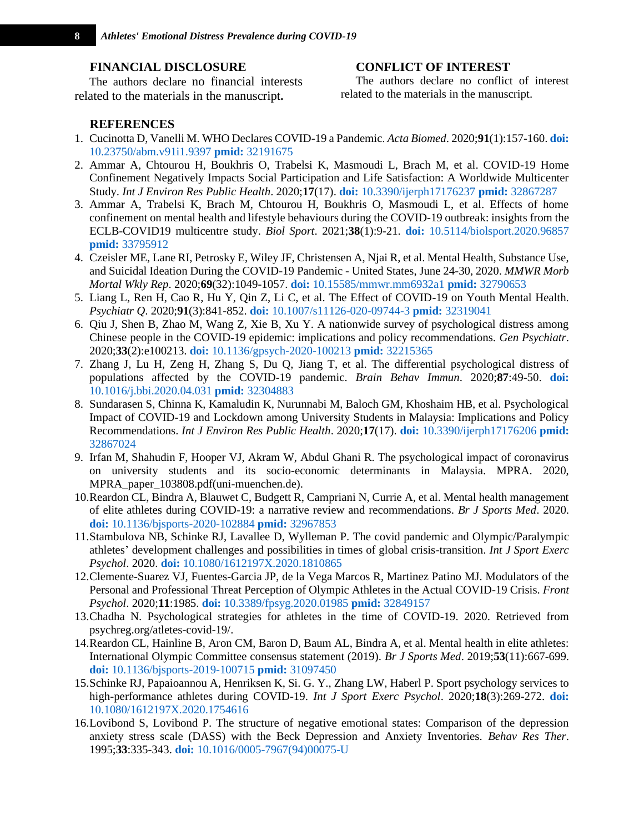#### **FINANCIAL DISCLOSURE**

The authors declare no financial interests related to the materials in the manuscript**.**

## **CONFLICT OF INTEREST**

The authors declare no conflict of interest related to the materials in the manuscript.

### **REFERENCES**

- <span id="page-7-0"></span>1. Cucinotta D, Vanelli M. WHO Declares COVID-19 a Pandemic. *Acta Biomed*. 2020;**91**(1):157-160. **[doi:](http://dx.doi.org/10.23750/abm.v91i1.9397)**  [10.23750/abm.v91i1.9397](http://dx.doi.org/10.23750/abm.v91i1.9397) **pmid:** [32191675](http://ncbi.nlm.nih.gov/pubmed/32191675)
- <span id="page-7-1"></span>2. Ammar A, Chtourou H, Boukhris O, Trabelsi K, Masmoudi L, Brach M, et al. COVID-19 Home Confinement Negatively Impacts Social Participation and Life Satisfaction: A Worldwide Multicenter Study. *Int J Environ Res Public Health*. 2020;**17**(17). **doi:** [10.3390/ijerph17176237](http://dx.doi.org/10.3390/ijerph17176237) **pmid:** [32867287](http://ncbi.nlm.nih.gov/pubmed/32867287)
- <span id="page-7-2"></span>3. Ammar A, Trabelsi K, Brach M, Chtourou H, Boukhris O, Masmoudi L, et al. Effects of home confinement on mental health and lifestyle behaviours during the COVID-19 outbreak: insights from the ECLB-COVID19 multicentre study. *Biol Sport*. 2021;**38**(1):9-21. **doi:** [10.5114/biolsport.2020.96857](http://dx.doi.org/10.5114/biolsport.2020.96857) **pmid:** [33795912](http://ncbi.nlm.nih.gov/pubmed/33795912)
- <span id="page-7-3"></span>4. Czeisler ME, Lane RI, Petrosky E, Wiley JF, Christensen A, Njai R, et al. Mental Health, Substance Use, and Suicidal Ideation During the COVID-19 Pandemic - United States, June 24-30, 2020. *MMWR Morb Mortal Wkly Rep*. 2020;**69**(32):1049-1057. **doi:** [10.15585/mmwr.mm6932a1](http://dx.doi.org/10.15585/mmwr.mm6932a1) **pmid:** [32790653](http://ncbi.nlm.nih.gov/pubmed/32790653)
- <span id="page-7-4"></span>5. Liang L, Ren H, Cao R, Hu Y, Qin Z, Li C, et al. The Effect of COVID-19 on Youth Mental Health. *Psychiatr Q*. 2020;**91**(3):841-852. **doi:** [10.1007/s11126-020-09744-3](http://dx.doi.org/10.1007/s11126-020-09744-3) **pmid:** [32319041](http://ncbi.nlm.nih.gov/pubmed/32319041)
- <span id="page-7-5"></span>6. Qiu J, Shen B, Zhao M, Wang Z, Xie B, Xu Y. A nationwide survey of psychological distress among Chinese people in the COVID-19 epidemic: implications and policy recommendations. *Gen Psychiatr*. 2020;**33**(2):e100213. **doi:** [10.1136/gpsych-2020-100213](http://dx.doi.org/10.1136/gpsych-2020-100213) **pmid:** [32215365](http://ncbi.nlm.nih.gov/pubmed/32215365)
- <span id="page-7-6"></span>7. Zhang J, Lu H, Zeng H, Zhang S, Du Q, Jiang T, et al. The differential psychological distress of populations affected by the COVID-19 pandemic. *Brain Behav Immun*. 2020;**87**:49-50. **[doi:](http://dx.doi.org/10.1016/j.bbi.2020.04.031)**  [10.1016/j.bbi.2020.04.031](http://dx.doi.org/10.1016/j.bbi.2020.04.031) **pmid:** [32304883](http://ncbi.nlm.nih.gov/pubmed/32304883)
- <span id="page-7-7"></span>8. Sundarasen S, Chinna K, Kamaludin K, Nurunnabi M, Baloch GM, Khoshaim HB, et al. Psychological Impact of COVID-19 and Lockdown among University Students in Malaysia: Implications and Policy Recommendations. *Int J Environ Res Public Health*. 2020;**17**(17). **doi:** [10.3390/ijerph17176206](http://dx.doi.org/10.3390/ijerph17176206) **[pmid:](http://ncbi.nlm.nih.gov/pubmed/32867024)**  [32867024](http://ncbi.nlm.nih.gov/pubmed/32867024)
- <span id="page-7-8"></span>9. Irfan M, Shahudin F, Hooper VJ, Akram W, Abdul Ghani R. The psychological impact of coronavirus on university students and its socio-economic determinants in Malaysia. MPRA. 2020, MPRA\_paper\_103808.pdf(uni-muenchen.de).
- <span id="page-7-9"></span>10.Reardon CL, Bindra A, Blauwet C, Budgett R, Campriani N, Currie A, et al. Mental health management of elite athletes during COVID-19: a narrative review and recommendations. *Br J Sports Med*. 2020. **doi:** [10.1136/bjsports-2020-102884](http://dx.doi.org/10.1136/bjsports-2020-102884) **pmid:** [32967853](http://ncbi.nlm.nih.gov/pubmed/32967853)
- <span id="page-7-10"></span>11.Stambulova NB, Schinke RJ, Lavallee D, Wylleman P. The covid pandemic and Olympic/Paralympic athletes' development challenges and possibilities in times of global crisis-transition. *Int J Sport Exerc Psychol*. 2020. **doi:** [10.1080/1612197X.2020.1810865](http://dx.doi.org/10.1080/1612197X.2020.1810865)
- <span id="page-7-11"></span>12.Clemente-Suarez VJ, Fuentes-Garcia JP, de la Vega Marcos R, Martinez Patino MJ. Modulators of the Personal and Professional Threat Perception of Olympic Athletes in the Actual COVID-19 Crisis. *Front Psychol*. 2020;**11**:1985. **doi:** [10.3389/fpsyg.2020.01985](http://dx.doi.org/10.3389/fpsyg.2020.01985) **pmid:** [32849157](http://ncbi.nlm.nih.gov/pubmed/32849157)
- <span id="page-7-12"></span>13.Chadha N. Psychological strategies for athletes in the time of COVID-19. 2020. Retrieved from psychreg.org/atletes-covid-19/.
- <span id="page-7-13"></span>14.Reardon CL, Hainline B, Aron CM, Baron D, Baum AL, Bindra A, et al. Mental health in elite athletes: International Olympic Committee consensus statement (2019). *Br J Sports Med*. 2019;**53**(11):667-699. **doi:** [10.1136/bjsports-2019-100715](http://dx.doi.org/10.1136/bjsports-2019-100715) **pmid:** [31097450](http://ncbi.nlm.nih.gov/pubmed/31097450)
- <span id="page-7-14"></span>15.Schinke RJ, Papaioannou A, Henriksen K, Si. G. Y., Zhang LW, Haberl P. Sport psychology services to high-performance athletes during COVID-19. *Int J Sport Exerc Psychol*. 2020;**18**(3):269-272. **[doi:](http://dx.doi.org/10.1080/1612197X.2020.1754616)**  [10.1080/1612197X.2020.1754616](http://dx.doi.org/10.1080/1612197X.2020.1754616)
- <span id="page-7-15"></span>16.Lovibond S, Lovibond P. The structure of negative emotional states: Comparison of the depression anxiety stress scale (DASS) with the Beck Depression and Anxiety Inventories. *Behav Res Ther*. 1995;**33**:335-343. **doi:** [10.1016/0005-7967\(94\)00075-U](http://dx.doi.org/10.1016/0005-7967(94)00075-U)